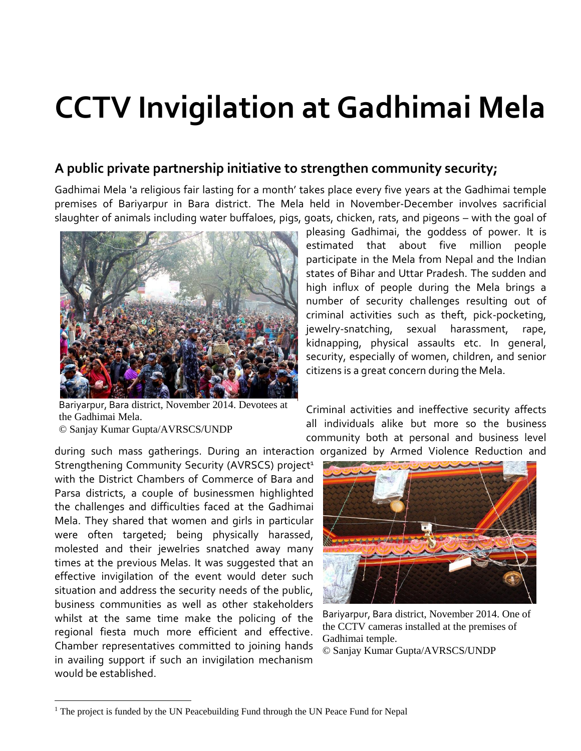## **CCTV Invigilation at Gadhimai Mela**

## **A public private partnership initiative to strengthen community security;**

Gadhimai Mela 'a religious fair lasting for a month' takes place every five years at the Gadhimai temple premises of Bariyarpur in Bara district. The Mela held in November-December involves sacrificial slaughter of animals including water buffaloes, pigs, goats, chicken, rats, and pigeons – with the goal of



Bariyarpur, Bara district, November 2014. Devotees at the Gadhimai Mela. © Sanjay Kumar Gupta/AVRSCS/UNDP

pleasing Gadhimai, the [goddess](http://en.wikipedia.org/wiki/Devi) of power. It is estimated that about five million people participate in the Mela from Nepal and the Indian states of Bihar and Uttar Pradesh. The sudden and high influx of people during the Mela brings a number of security challenges resulting out of criminal activities such as theft, pick-pocketing, jewelry-snatching, sexual harassment, rape, kidnapping, physical assaults etc. In general, security, especially of women, children, and senior citizens is a great concern during the Mela.

Criminal activities and ineffective security affects all individuals alike but more so the business community both at personal and business level

during such mass gatherings. During an interaction organized by Armed Violence Reduction and

Strengthening Community Security (AVRSCS) project<sup>1</sup> with the District Chambers of Commerce of Bara and Parsa districts, a couple of businessmen highlighted the challenges and difficulties faced at the Gadhimai Mela. They shared that women and girls in particular were often targeted; being physically harassed, molested and their jewelries snatched away many times at the previous Melas. It was suggested that an effective invigilation of the event would deter such situation and address the security needs of the public, business communities as well as other stakeholders whilst at the same time make the policing of the regional fiesta much more efficient and effective. Chamber representatives committed to joining hands in availing support if such an invigilation mechanism would be established.

 $\overline{a}$ 



Bariyarpur, Bara district, November 2014. One of the CCTV cameras installed at the premises of Gadhimai temple.

© Sanjay Kumar Gupta/AVRSCS/UNDP

<sup>&</sup>lt;sup>1</sup> The project is funded by the UN Peacebuilding Fund through the UN Peace Fund for Nepal